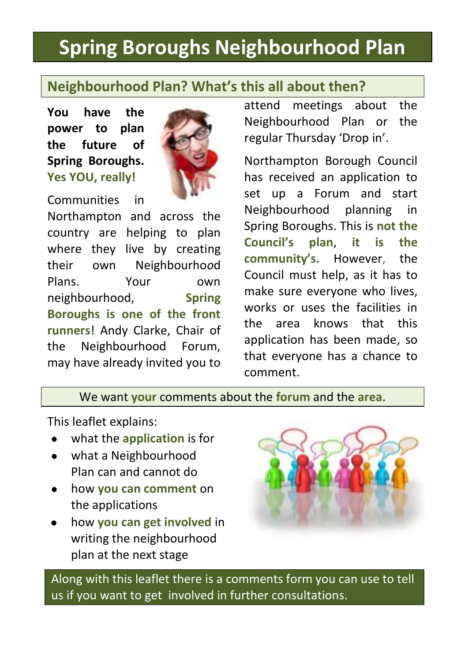# **Spring Boroughs Neighbourhood Plan**

## **Neighbourhood Plan? What's this all about then?**

**You have the power to plan the future of Spring Boroughs. Yes YOU, really!**



Communities in

Northampton and across the country are helping to plan where they live by creating their own Neighbourho*o*d Plans. Your own neighbourhood, **Spring Boroughs is one of the front runners**! Andy Clarke, Chair of the Neighbourhood Forum, may have already invited you to attend meetings about the Neighbourhood Plan or the regular Thursday 'Drop in'.

Northampton Borough Council has received an application to set up a Forum and start Neighbourhood planning in Spring Boroughs. This is **not the Council's plan**, **it is the community's.** However, the Council must help, as it has to make sure everyone who lives, works or uses the facilities in the area knows that this application has been made, so that everyone has a chance to comment.

We want **your** comments about the **forum** and the **area**.

This leaflet explains:

- what the **application** is for
- what a Neighbourhood  $\bullet$ Plan can and cannot do
- how **you can comment** on  $\bullet$ the applications
- how **you can get involved** in writing the neighbourhood plan at the next stage



Along with this leaflet there is a comments form you can use to tell us if you want to get involved in further consultations.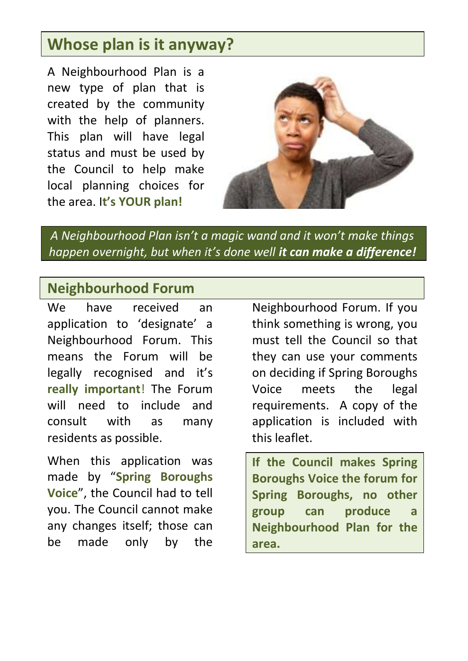# **Whose plan is it anyway?**

A Neighbourhood Plan is a new type of plan that is created by the community with the help of planners. This plan will have legal status and must be used by the Council to help make local planning choices for the area. I**t's YOUR plan!**



*A Neighbourhood Plan isn't a magic wand and it won't make things happen overnight, but when it's done well it can make a difference!*

#### **Neighbourhood Forum**

We have received an application to 'designate' a Neighbourhood Forum. This means the Forum will be legally recognised and it's **really important**! The Forum will need to include and consult with as many residents as possible.

When this application was made by "**Spring Boroughs Voice**", the Council had to tell you. The Council cannot make any changes itself; those can be made only by the

Neighbourhood Forum. If you think something is wrong, you must tell the Council so that they can use your comments on deciding if Spring Boroughs Voice meets the legal requirements. A copy of the application is included with this leaflet.

**If the Council makes Spring Boroughs Voice the forum for Spring Boroughs, no other group can produce a Neighbourhood Plan for the area.**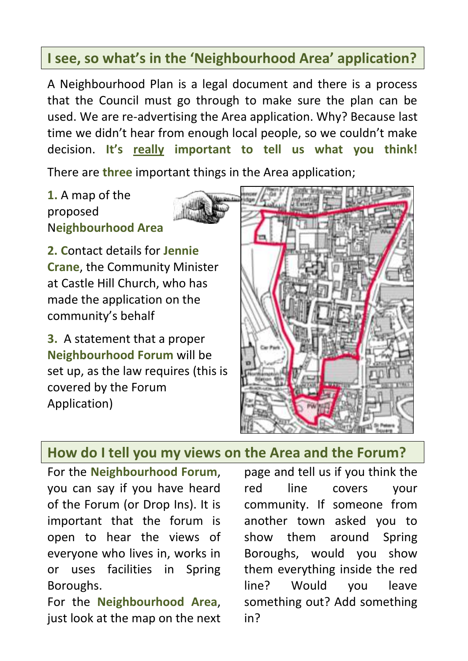## **I see, so what's in the 'Neighbourhood Area' application?**

A Neighbourhood Plan is a legal document and there is a process that the Council must go through to make sure the plan can be used. We are re-advertising the Area application. Why? Because last time we didn't hear from enough local people, so we couldn't make decision. **It's really important to tell us what you think!**

There are **three** important things in the Area application;

**1.** A map of the proposed N**eighbourhood Area**

**2. C**ontact details for **Jennie Crane**, the Community Minister at Castle Hill Church, who has made the application on the community's behalf

**3.** A statement that a proper **Neighbourhood Forum** will be set up, as the law requires (this is covered by the Forum Application)



#### **How do I tell you my views on the Area and the Forum?**

For the **Neighbourhood Forum**, you can say if you have heard of the Forum (or Drop Ins). It is important that the forum is open to hear the views of everyone who lives in, works in or uses facilities in Spring Boroughs.

For the **Neighbourhood Area**, just look at the map on the next

page and tell us if you think the red line covers your community. If someone from another town asked you to show them around Spring Boroughs, would you show them everything inside the red line? Would you leave something out? Add something in?